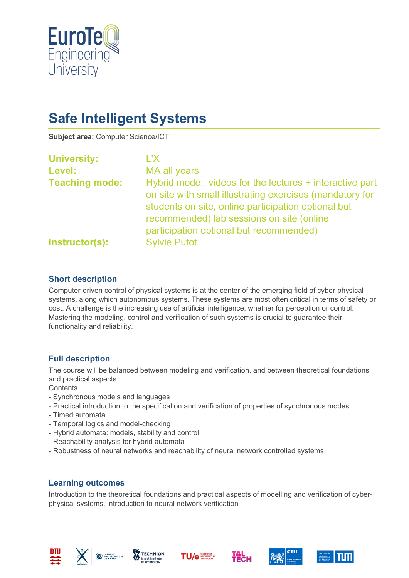

# **Safe Intelligent Systems**

**Subject area:** Computer Science/ICT

| <b>University:</b>    | L'X.                                                                                                                                                                                                                                                               |
|-----------------------|--------------------------------------------------------------------------------------------------------------------------------------------------------------------------------------------------------------------------------------------------------------------|
| Level:                | MA all years                                                                                                                                                                                                                                                       |
| <b>Teaching mode:</b> | Hybrid mode: videos for the lectures + interactive part<br>on site with small illustrating exercises (mandatory for<br>students on site, online participation optional but<br>recommended) lab sessions on site (online<br>participation optional but recommended) |
| Instructor(s):        | <b>Sylvie Putot</b>                                                                                                                                                                                                                                                |

## **Short description**

Computer-driven control of physical systems is at the center of the emerging field of cyber-physical systems, along which autonomous systems. These systems are most often critical in terms of safety or cost. A challenge is the increasing use of artificial intelligence, whether for perception or control. Mastering the modeling, control and verification of such systems is crucial to guarantee their functionality and reliability.

#### **Full description**

The course will be balanced between modeling and verification, and between theoretical foundations and practical aspects.

**Contents** 

- Synchronous models and languages
- Practical introduction to the specification and verification of properties of synchronous modes
- Timed automata
- Temporal logics and model-checking
- Hybrid automata: models, stability and control
- Reachability analysis for hybrid automata
- Robustness of neural networks and reachability of neural network controlled systems

#### **Learning outcomes**

Introduction to the theoretical foundations and practical aspects of modelling and verification of cyberphysical systems, introduction to neural network verification











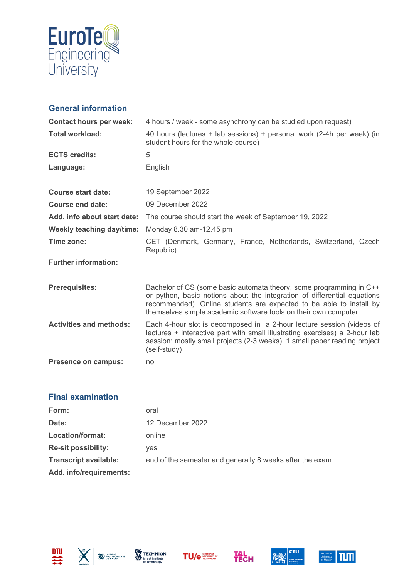

## **General information**

| <b>Contact hours per week:</b>   | 4 hours / week - some asynchrony can be studied upon request)                                                                                                                                                                                                                              |
|----------------------------------|--------------------------------------------------------------------------------------------------------------------------------------------------------------------------------------------------------------------------------------------------------------------------------------------|
| <b>Total workload:</b>           | 40 hours (lectures + lab sessions) + personal work (2-4h per week) (in<br>student hours for the whole course)                                                                                                                                                                              |
| <b>ECTS credits:</b>             | 5                                                                                                                                                                                                                                                                                          |
| Language:                        | English                                                                                                                                                                                                                                                                                    |
| <b>Course start date:</b>        | 19 September 2022                                                                                                                                                                                                                                                                          |
| Course end date:                 | 09 December 2022                                                                                                                                                                                                                                                                           |
| Add. info about start date:      | The course should start the week of September 19, 2022                                                                                                                                                                                                                                     |
| <b>Weekly teaching day/time:</b> | Monday 8.30 am-12.45 pm                                                                                                                                                                                                                                                                    |
| Time zone:                       | CET (Denmark, Germany, France, Netherlands, Switzerland, Czech<br>Republic)                                                                                                                                                                                                                |
| <b>Further information:</b>      |                                                                                                                                                                                                                                                                                            |
| <b>Prerequisites:</b>            | Bachelor of CS (some basic automata theory, some programming in C++<br>or python, basic notions about the integration of differential equations<br>recommended). Online students are expected to be able to install by<br>themselves simple academic software tools on their own computer. |
| <b>Activities and methods:</b>   | Each 4-hour slot is decomposed in a 2-hour lecture session (videos of<br>lectures + interactive part with small illustrating exercises) a 2-hour lab<br>session: mostly small projects (2-3 weeks), 1 small paper reading project<br>(self-study)                                          |
| <b>Presence on campus:</b>       | no                                                                                                                                                                                                                                                                                         |

## **Final examination**

| Form:                        | oral                                                      |
|------------------------------|-----------------------------------------------------------|
| Date:                        | 12 December 2022                                          |
| Location/format:             | online                                                    |
| <b>Re-sit possibility:</b>   | ves                                                       |
| <b>Transcript available:</b> | end of the semester and generally 8 weeks after the exam. |
| Add. info/requirements:      |                                                           |